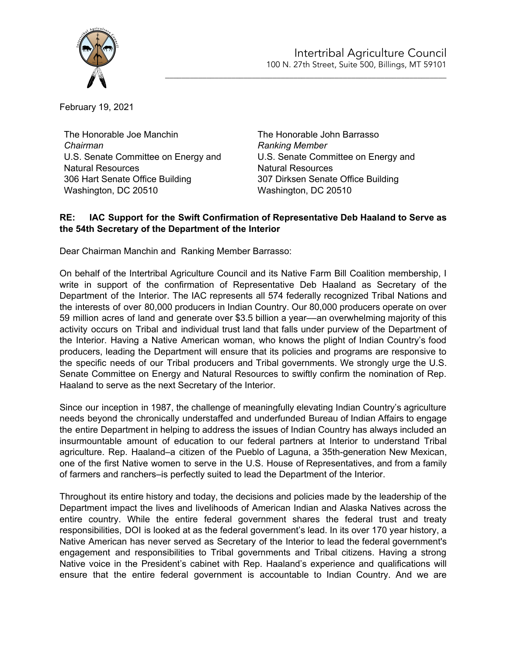

February 19, 2021

The Honorable Joe Manchin *Chairman* U.S. Senate Committee on Energy and Natural Resources 306 Hart Senate Office Building Washington, DC 20510

The Honorable John Barrasso *Ranking Member* U.S. Senate Committee on Energy and Natural Resources 307 Dirksen Senate Office Building Washington, DC 20510

\_\_\_\_\_\_\_\_\_\_\_\_\_\_\_\_\_\_\_\_\_\_\_\_\_\_\_\_\_\_\_\_\_\_\_\_\_\_\_\_\_\_\_\_\_\_\_\_\_\_\_\_\_\_\_\_\_\_\_\_\_\_\_\_\_\_\_\_

## **RE: IAC Support for the Swift Confirmation of Representative Deb Haaland to Serve as the 54th Secretary of the Department of the Interior**

Dear Chairman Manchin and Ranking Member Barrasso:

On behalf of the Intertribal Agriculture Council and its Native Farm Bill Coalition membership, I write in support of the confirmation of Representative Deb Haaland as Secretary of the Department of the Interior. The IAC represents all 574 federally recognized Tribal Nations and the interests of over 80,000 producers in Indian Country. Our 80,000 producers operate on over 59 million acres of land and generate over \$3.5 billion a year––an overwhelming majority of this activity occurs on Tribal and individual trust land that falls under purview of the Department of the Interior. Having a Native American woman, who knows the plight of Indian Country's food producers, leading the Department will ensure that its policies and programs are responsive to the specific needs of our Tribal producers and Tribal governments. We strongly urge the U.S. Senate Committee on Energy and Natural Resources to swiftly confirm the nomination of Rep. Haaland to serve as the next Secretary of the Interior.

Since our inception in 1987, the challenge of meaningfully elevating Indian Country's agriculture needs beyond the chronically understaffed and underfunded Bureau of Indian Affairs to engage the entire Department in helping to address the issues of Indian Country has always included an insurmountable amount of education to our federal partners at Interior to understand Tribal agriculture. Rep. Haaland–a citizen of the Pueblo of Laguna, a 35th-generation New Mexican, one of the first Native women to serve in the U.S. House of Representatives, and from a family of farmers and ranchers–is perfectly suited to lead the Department of the Interior.

Throughout its entire history and today, the decisions and policies made by the leadership of the Department impact the lives and livelihoods of American Indian and Alaska Natives across the entire country. While the entire federal government shares the federal trust and treaty responsibilities, DOI is looked at as the federal government's lead. In its over 170 year history, a Native American has never served as Secretary of the Interior to lead the federal government's engagement and responsibilities to Tribal governments and Tribal citizens. Having a strong Native voice in the President's cabinet with Rep. Haaland's experience and qualifications will ensure that the entire federal government is accountable to Indian Country. And we are